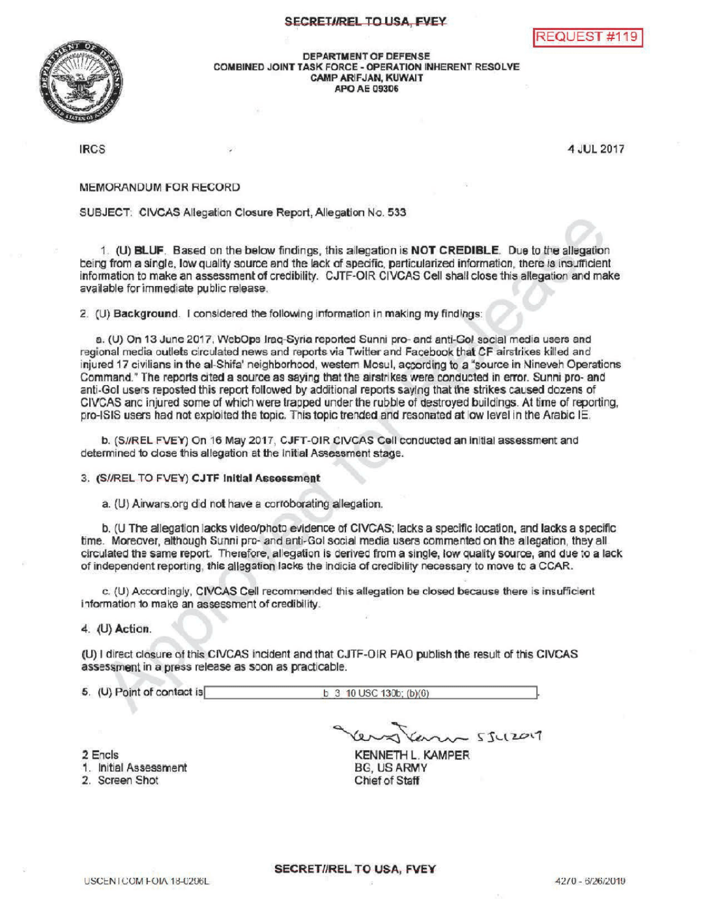## SECRETI/REL TO USA, FVEY





DEPARTMENTOF DEFENSE COMBINED JOINT TASK FORCE - OPERATION INHERENT RESOLVE CAMPARIFJAN, KUWAIT APOAE09306

IRCS 4 JUL 2017

**MEMORANDUM FOR RECORD** 

SUBJECT: CIVCAS Allegation Closure Report, Allegation No. 533

1. (U) BLUF. Based on the below findings, this allegation is NOT CREDIBLE. Due to the allegation being from a single, low quality source and the lack of specific, particularized information, there is insufficient information to make an assessment of credibility. CJTF-OIR CIVCAS Cell shall close this allegation and make available for immediate public release.

2. (U) Background. I considered the following information in making my findings:

a. (U) On 13 June 2017, WebOps Iraq-Syria reported Sunni pro- and anti-Gol social media users and regional media outlets circulated news and reports via Twitter and Facebook that CF airstrikes killed and injured 17 civilians in the al-Shifa' neighborhood, western Mosul, according to a "source in Nineveh Operations Command." The reports cited a source as saying that the airstrikes were conducted in error. Sunni pro- and anti-Gol users reposted this report followed by additional reports saying that the strikes caused dozens of CIVCAS and injured some of which were trapped under the rubble of destroyed buildings. At time of reporting, pro-ISIS users had not exploited the topic. This topic trended and resonated at low level in the Arabic IE.

b. (S//REL FVEY) On 16 May 2017, CJFT-OIR CIVCAS Cell conducted an initial assessment and determined to close this allegation at the Initial Assessment stage.

3. (S//REL TO FVEY) CJTF Initial Assessment

a. (U) Airwars.org did not have a corroborating allegation.

b. (U The allegation lacks video/photo evidence of CIVCAS; lacks a specific location, and lacks a specific time. Moreover, although Sunni pro- and anti-Gol social media users commented on the allegation, they all circulated the same report. Therefore, allegation is derived from a single, low quality source, and due to a lack of independent reporting, this allegation lacks the indicia of credibility necessary to move to a CCAR.

c. (U) Accordingly, CIVCAS Cell recommended this allegation be closed because there is insufficient information to make an assessment of credibility.

4. (U) Action

(U) I direct closure of this CIVCAS incident and that CJTF-OIR PAO publish the result of this CIVCAS assessment in a press release as soon as practicable.

5. (U) Point of contact is  $\begin{array}{|c|c|c|c|c|c|}\n\hline\n&\text{b} & \text{3} & \text{10 USC 130b; (b)(0)}\n\hline\n\end{array}$ 

2 Encls

1. Initial Assessment

2. Screen Shot

 $20075512017$ KENNETH L. KAMPER

BG USARMY Chief of Staff

**SECRET//REL TO USA, FVEY**